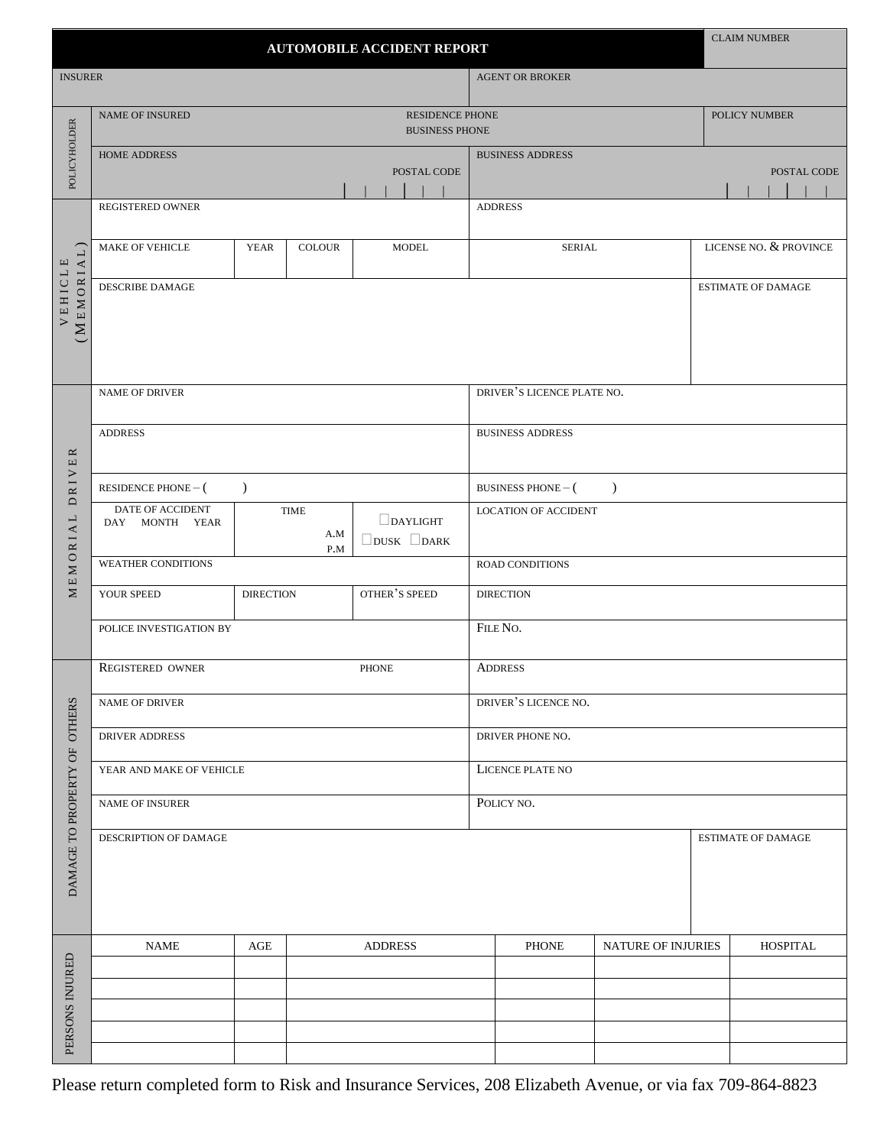| <b>AUTOMOBILE ACCIDENT REPORT</b>   |                                                 |                       |                    |                                                                  |  |                  | <b>CLAIM NUMBER</b>                    |                    |  |                           |
|-------------------------------------|-------------------------------------------------|-----------------------|--------------------|------------------------------------------------------------------|--|------------------|----------------------------------------|--------------------|--|---------------------------|
| <b>INSURER</b>                      |                                                 |                       |                    |                                                                  |  |                  | <b>AGENT OR BROKER</b>                 |                    |  |                           |
| POLICYHOLDER                        | <b>NAME OF INSURED</b>                          |                       |                    | <b>RESIDENCE PHONE</b><br>POLICY NUMBER<br><b>BUSINESS PHONE</b> |  |                  |                                        |                    |  |                           |
|                                     | HOME ADDRESS<br>POSTAL CODE                     |                       |                    |                                                                  |  |                  | <b>BUSINESS ADDRESS</b><br>POSTAL CODE |                    |  |                           |
|                                     |                                                 |                       |                    |                                                                  |  |                  |                                        |                    |  |                           |
| (MEMORIA<br>$\mathbf \Xi$<br>VEHICL | REGISTERED OWNER                                |                       |                    |                                                                  |  |                  | <b>ADDRESS</b>                         |                    |  |                           |
|                                     | MAKE OF VEHICLE                                 | <b>YEAR</b>           | <b>COLOUR</b>      | <b>MODEL</b>                                                     |  |                  | <b>SERIAL</b>                          |                    |  | LICENSE NO. & PROVINCE    |
|                                     | DESCRIBE DAMAGE                                 |                       |                    |                                                                  |  |                  |                                        |                    |  | <b>ESTIMATE OF DAMAGE</b> |
|                                     | <b>NAME OF DRIVER</b>                           |                       |                    |                                                                  |  |                  | DRIVER'S LICENCE PLATE NO.             |                    |  |                           |
|                                     | <b>ADDRESS</b>                                  |                       |                    |                                                                  |  |                  | <b>BUSINESS ADDRESS</b>                |                    |  |                           |
| DRIVER                              | $\mathcal{L}$<br>RESIDENCE PHONE $-$ (          |                       |                    |                                                                  |  |                  | BUSINESS PHONE $-$ (<br>$\lambda$      |                    |  |                           |
| MEMORIAL                            | DATE OF ACCIDENT<br>DAY MONTH YEAR              |                       | TIME<br>A.M<br>P.M | $\Box$ DAYLIGHT<br>DUSK DARK                                     |  |                  | <b>LOCATION OF ACCIDENT</b>            |                    |  |                           |
|                                     | <b>WEATHER CONDITIONS</b>                       |                       |                    |                                                                  |  |                  | ROAD CONDITIONS                        |                    |  |                           |
|                                     | OTHER'S SPEED<br>YOUR SPEED<br><b>DIRECTION</b> |                       |                    |                                                                  |  | <b>DIRECTION</b> |                                        |                    |  |                           |
|                                     | POLICE INVESTIGATION BY                         |                       |                    |                                                                  |  |                  | FILE NO.                               |                    |  |                           |
|                                     | REGISTERED OWNER<br><b>PHONE</b>                |                       |                    |                                                                  |  |                  | <b>ADDRESS</b>                         |                    |  |                           |
| <b>OTHERS</b>                       | <b>NAME OF DRIVER</b>                           |                       |                    |                                                                  |  |                  | DRIVER'S LICENCE NO.                   |                    |  |                           |
|                                     | DRIVER ADDRESS                                  |                       |                    |                                                                  |  |                  | DRIVER PHONE NO.                       |                    |  |                           |
|                                     | YEAR AND MAKE OF VEHICLE                        |                       |                    |                                                                  |  |                  | LICENCE PLATE NO                       |                    |  |                           |
|                                     | <b>NAME OF INSURER</b>                          |                       |                    |                                                                  |  |                  | POLICY NO.                             |                    |  |                           |
| DAMAGE TO PROPERTY OF               | DESCRIPTION OF DAMAGE                           |                       |                    |                                                                  |  |                  | <b>ESTIMATE OF DAMAGE</b>              |                    |  |                           |
|                                     | <b>NAME</b>                                     | <b>ADDRESS</b><br>AGE |                    |                                                                  |  |                  | <b>PHONE</b>                           | NATURE OF INJURIES |  | <b>HOSPITAL</b>           |
|                                     |                                                 |                       |                    |                                                                  |  |                  |                                        |                    |  |                           |
|                                     |                                                 |                       |                    |                                                                  |  |                  |                                        |                    |  |                           |
| PERSONS INJURED                     |                                                 |                       |                    |                                                                  |  |                  |                                        |                    |  |                           |
|                                     |                                                 |                       |                    |                                                                  |  |                  |                                        |                    |  |                           |

Please return completed form to Risk and Insurance Services, 208 Elizabeth Avenue, or via fax 709-864-8823